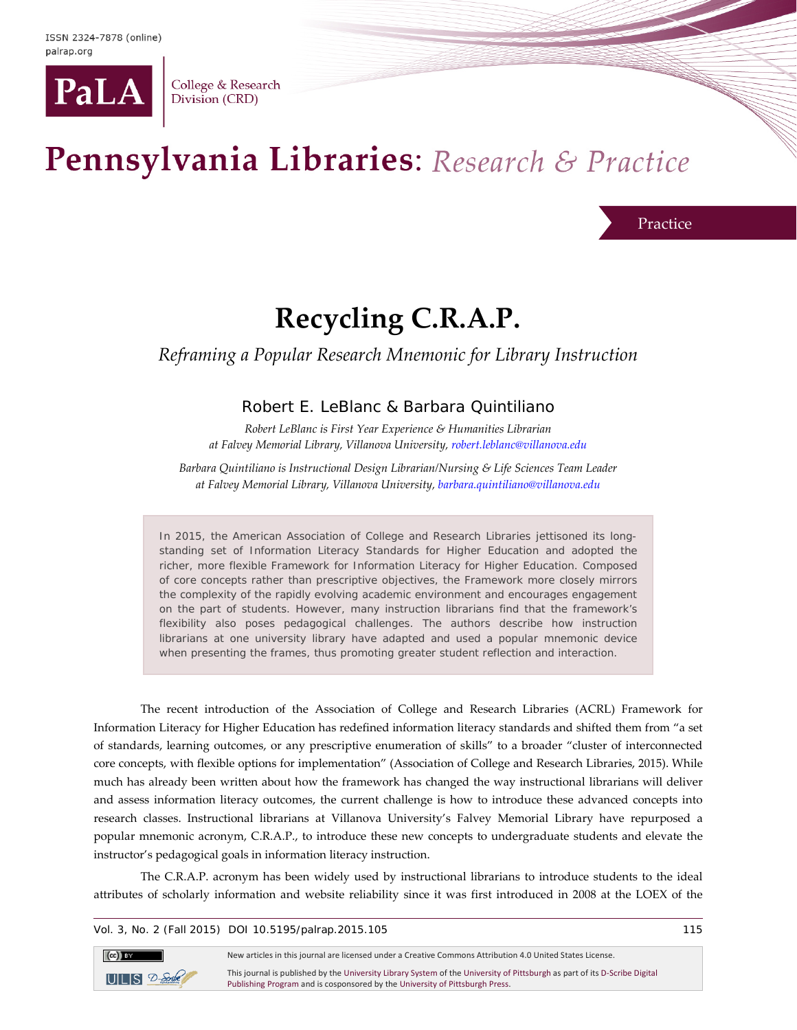

College & Research Division (CRD)

# Pennsylvania Libraries: Research & Practice

Practice

## **Recycling C.R.A.P.**

## *Reframing a Popular Research Mnemonic for Library Instruction*

## Robert E. LeBlanc & Barbara Quintiliano

*Robert LeBlanc is First Year Experience & Humanities Librarian at Falvey Memorial Library, Villanova University, [robert.leblanc@villanova.edu](mailto:robert.leblanc@villanova.edu)*

*Barbara Quintiliano is Instructional Design Librarian/Nursing & Life Sciences Team Leader at Falvey Memorial Library, Villanova University[, barbara.quintiliano@villanova.edu](mailto:barbara.quintiliano@villanova.edu)*

In 2015, the American Association of College and Research Libraries jettisoned its longstanding set of Information Literacy Standards for Higher Education and adopted the richer, more flexible Framework for Information Literacy for Higher Education. Composed of core concepts rather than prescriptive objectives, the Framework more closely mirrors the complexity of the rapidly evolving academic environment and encourages engagement on the part of students. However, many instruction librarians find that the framework's flexibility also poses pedagogical challenges. The authors describe how instruction librarians at one university library have adapted and used a popular mnemonic device when presenting the frames, thus promoting greater student reflection and interaction.

The recent introduction of the Association of College and Research Libraries (ACRL) Framework for Information Literacy for Higher Education has redefined information literacy standards and shifted them from "a set of standards, learning outcomes, or any prescriptive enumeration of skills" to a broader "cluster of interconnected core concepts, with flexible options for implementation" (Association of College and Research Libraries, 2015). While much has already been written about how the framework has changed the way instructional librarians will deliver and assess information literacy outcomes, the current challenge is how to introduce these advanced concepts into research classes. Instructional librarians at Villanova University's Falvey Memorial Library have repurposed a popular mnemonic acronym, C.R.A.P., to introduce these new concepts to undergraduate students and elevate the instructor's pedagogical goals in information literacy instruction.

The C.R.A.P. acronym has been widely used by instructional librarians to introduce students to the ideal attributes of scholarly information and website reliability since it was first introduced in 2008 at the LOEX of the

Vol. 3, No. 2 (Fall 2015) DOI 10.5195/palrap.2015.105 115

 $\left(\mathrm{cc}\right)$  BY New articles in this journal are licensed under a Creative Commons Attribution 4.0 United States License. This journal is published by th[e University Library System](http://www.library.pitt.edu/) of th[e University of Pittsburgh](http://www.pitt.edu/) as part of it[s D-Scribe Digital](http://www.library.pitt.edu/d-scribe-digital-collections)   $UILIS$   $2-5$ crite [Publishing Program](http://www.library.pitt.edu/d-scribe-digital-collections) and is cosponsored by th[e University of Pittsburgh Press.](http://upress.pitt.edu/)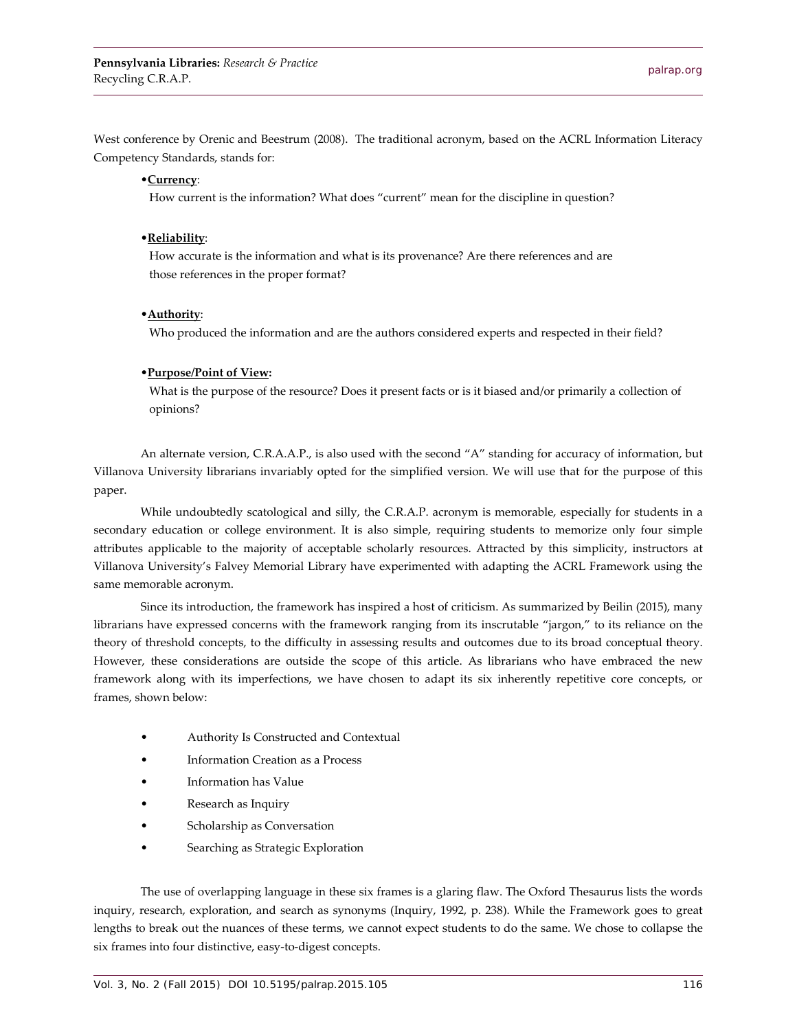West conference by Orenic and Beestrum (2008). The traditional acronym, based on the ACRL Information Literacy Competency Standards, stands for:

#### •**Currency**:

How current is the information? What does "current" mean for the discipline in question?

#### •**Reliability**:

 How accurate is the information and what is its provenance? Are there references and are those references in the proper format?

#### •**Authority**:

Who produced the information and are the authors considered experts and respected in their field?

#### •**Purpose/Point of View:**

 What is the purpose of the resource? Does it present facts or is it biased and/or primarily a collection of opinions?

An alternate version, C.R.A.A.P., is also used with the second "A" standing for accuracy of information, but Villanova University librarians invariably opted for the simplified version. We will use that for the purpose of this paper.

While undoubtedly scatological and silly, the C.R.A.P. acronym is memorable, especially for students in a secondary education or college environment. It is also simple, requiring students to memorize only four simple attributes applicable to the majority of acceptable scholarly resources. Attracted by this simplicity, instructors at Villanova University's Falvey Memorial Library have experimented with adapting the ACRL Framework using the same memorable acronym.

Since its introduction, the framework has inspired a host of criticism. As summarized by Beilin (2015), many librarians have expressed concerns with the framework ranging from its inscrutable "jargon," to its reliance on the theory of threshold concepts, to the difficulty in assessing results and outcomes due to its broad conceptual theory. However, these considerations are outside the scope of this article. As librarians who have embraced the new framework along with its imperfections, we have chosen to adapt its six inherently repetitive core concepts, or frames, shown below:

- Authority Is Constructed and Contextual
- Information Creation as a Process
- Information has Value
- Research as Inquiry
- Scholarship as Conversation
- Searching as Strategic Exploration

The use of overlapping language in these six frames is a glaring flaw. The Oxford Thesaurus lists the words inquiry, research, exploration, and search as synonyms (Inquiry, 1992, p. 238). While the Framework goes to great lengths to break out the nuances of these terms, we cannot expect students to do the same. We chose to collapse the six frames into four distinctive, easy-to-digest concepts.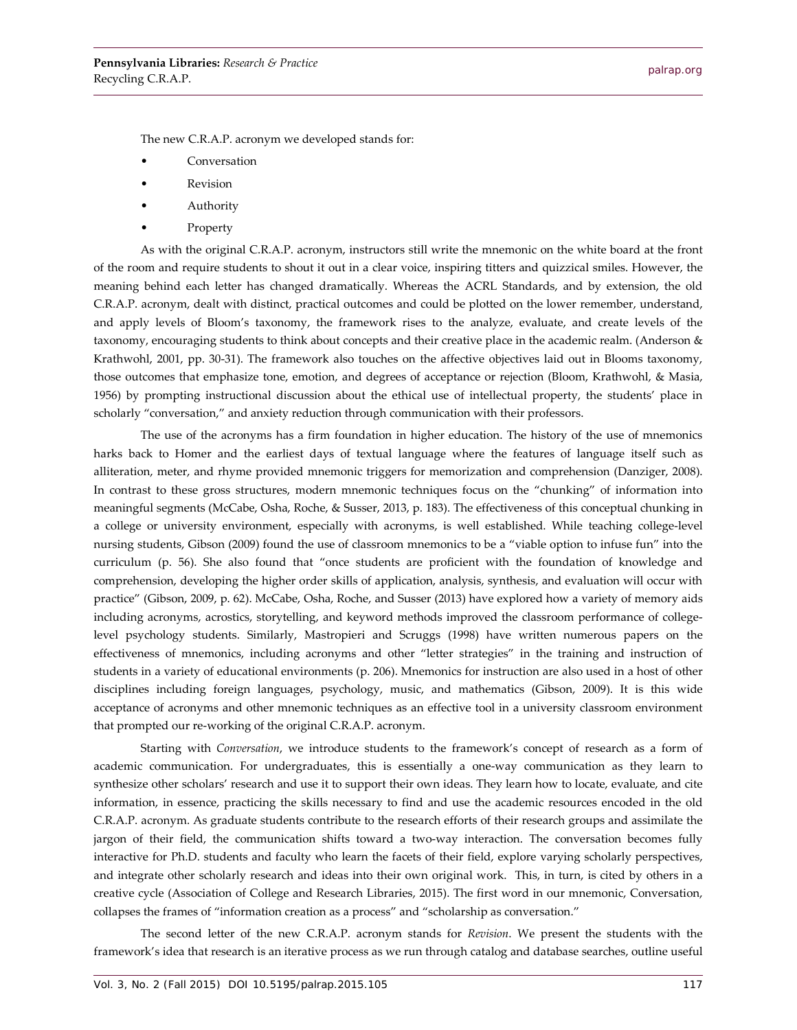The new C.R.A.P. acronym we developed stands for:

- **Conversation**
- Revision
- **Authority**
- **Property**

As with the original C.R.A.P. acronym, instructors still write the mnemonic on the white board at the front of the room and require students to shout it out in a clear voice, inspiring titters and quizzical smiles. However, the meaning behind each letter has changed dramatically. Whereas the ACRL Standards, and by extension, the old C.R.A.P. acronym, dealt with distinct, practical outcomes and could be plotted on the lower remember, understand, and apply levels of Bloom's taxonomy, the framework rises to the analyze, evaluate, and create levels of the taxonomy, encouraging students to think about concepts and their creative place in the academic realm. (Anderson & Krathwohl, 2001, pp. 30-31). The framework also touches on the affective objectives laid out in Blooms taxonomy, those outcomes that emphasize tone, emotion, and degrees of acceptance or rejection (Bloom, Krathwohl, & Masia, 1956) by prompting instructional discussion about the ethical use of intellectual property, the students' place in scholarly "conversation," and anxiety reduction through communication with their professors.

The use of the acronyms has a firm foundation in higher education. The history of the use of mnemonics harks back to Homer and the earliest days of textual language where the features of language itself such as alliteration, meter, and rhyme provided mnemonic triggers for memorization and comprehension (Danziger, 2008). In contrast to these gross structures, modern mnemonic techniques focus on the "chunking" of information into meaningful segments (McCabe, Osha, Roche, & Susser, 2013, p. 183). The effectiveness of this conceptual chunking in a college or university environment, especially with acronyms, is well established. While teaching college-level nursing students, Gibson (2009) found the use of classroom mnemonics to be a "viable option to infuse fun" into the curriculum (p. 56). She also found that "once students are proficient with the foundation of knowledge and comprehension, developing the higher order skills of application, analysis, synthesis, and evaluation will occur with practice" (Gibson, 2009, p. 62). McCabe, Osha, Roche, and Susser (2013) have explored how a variety of memory aids including acronyms, acrostics, storytelling, and keyword methods improved the classroom performance of collegelevel psychology students. Similarly, Mastropieri and Scruggs (1998) have written numerous papers on the effectiveness of mnemonics, including acronyms and other "letter strategies" in the training and instruction of students in a variety of educational environments (p. 206). Mnemonics for instruction are also used in a host of other disciplines including foreign languages, psychology, music, and mathematics (Gibson, 2009). It is this wide acceptance of acronyms and other mnemonic techniques as an effective tool in a university classroom environment that prompted our re-working of the original C.R.A.P. acronym.

Starting with *Conversation*, we introduce students to the framework's concept of research as a form of academic communication. For undergraduates, this is essentially a one-way communication as they learn to synthesize other scholars' research and use it to support their own ideas. They learn how to locate, evaluate, and cite information, in essence, practicing the skills necessary to find and use the academic resources encoded in the old C.R.A.P. acronym. As graduate students contribute to the research efforts of their research groups and assimilate the jargon of their field, the communication shifts toward a two-way interaction. The conversation becomes fully interactive for Ph.D. students and faculty who learn the facets of their field, explore varying scholarly perspectives, and integrate other scholarly research and ideas into their own original work. This, in turn, is cited by others in a creative cycle (Association of College and Research Libraries, 2015). The first word in our mnemonic, Conversation, collapses the frames of "information creation as a process" and "scholarship as conversation."

The second letter of the new C.R.A.P. acronym stands for *Revision*. We present the students with the framework's idea that research is an iterative process as we run through catalog and database searches, outline useful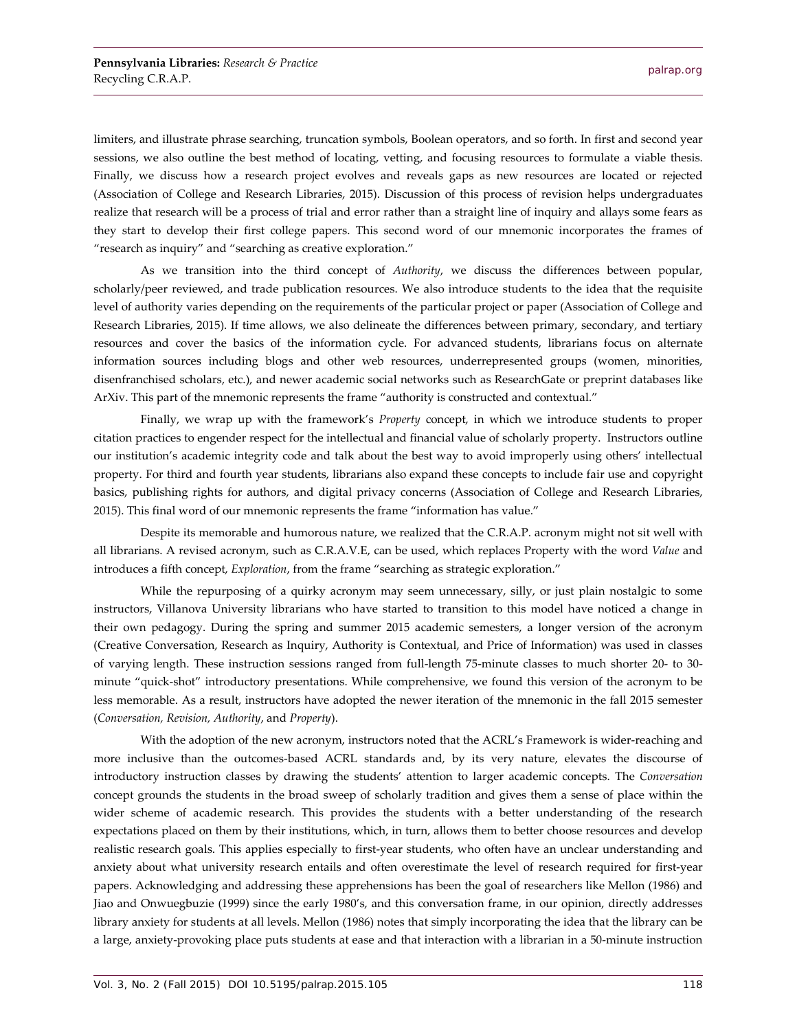limiters, and illustrate phrase searching, truncation symbols, Boolean operators, and so forth. In first and second year sessions, we also outline the best method of locating, vetting, and focusing resources to formulate a viable thesis. Finally, we discuss how a research project evolves and reveals gaps as new resources are located or rejected (Association of College and Research Libraries, 2015). Discussion of this process of revision helps undergraduates realize that research will be a process of trial and error rather than a straight line of inquiry and allays some fears as they start to develop their first college papers. This second word of our mnemonic incorporates the frames of "research as inquiry" and "searching as creative exploration."

As we transition into the third concept of *Authority*, we discuss the differences between popular, scholarly/peer reviewed, and trade publication resources. We also introduce students to the idea that the requisite level of authority varies depending on the requirements of the particular project or paper (Association of College and Research Libraries, 2015). If time allows, we also delineate the differences between primary, secondary, and tertiary resources and cover the basics of the information cycle. For advanced students, librarians focus on alternate information sources including blogs and other web resources, underrepresented groups (women, minorities, disenfranchised scholars, etc.), and newer academic social networks such as ResearchGate or preprint databases like ArXiv. This part of the mnemonic represents the frame "authority is constructed and contextual."

Finally, we wrap up with the framework's *Property* concept, in which we introduce students to proper citation practices to engender respect for the intellectual and financial value of scholarly property. Instructors outline our institution's academic integrity code and talk about the best way to avoid improperly using others' intellectual property. For third and fourth year students, librarians also expand these concepts to include fair use and copyright basics, publishing rights for authors, and digital privacy concerns (Association of College and Research Libraries, 2015). This final word of our mnemonic represents the frame "information has value."

Despite its memorable and humorous nature, we realized that the C.R.A.P. acronym might not sit well with all librarians. A revised acronym, such as C.R.A.V.E, can be used, which replaces Property with the word *Value* and introduces a fifth concept, *Exploration*, from the frame "searching as strategic exploration."

While the repurposing of a quirky acronym may seem unnecessary, silly, or just plain nostalgic to some instructors, Villanova University librarians who have started to transition to this model have noticed a change in their own pedagogy. During the spring and summer 2015 academic semesters, a longer version of the acronym (Creative Conversation, Research as Inquiry, Authority is Contextual, and Price of Information) was used in classes of varying length. These instruction sessions ranged from full-length 75-minute classes to much shorter 20- to 30 minute "quick-shot" introductory presentations. While comprehensive, we found this version of the acronym to be less memorable. As a result, instructors have adopted the newer iteration of the mnemonic in the fall 2015 semester (*Conversation, Revision, Authority*, and *Property*).

With the adoption of the new acronym, instructors noted that the ACRL's Framework is wider-reaching and more inclusive than the outcomes-based ACRL standards and, by its very nature, elevates the discourse of introductory instruction classes by drawing the students' attention to larger academic concepts. The *Conversation* concept grounds the students in the broad sweep of scholarly tradition and gives them a sense of place within the wider scheme of academic research. This provides the students with a better understanding of the research expectations placed on them by their institutions, which, in turn, allows them to better choose resources and develop realistic research goals. This applies especially to first-year students, who often have an unclear understanding and anxiety about what university research entails and often overestimate the level of research required for first-year papers. Acknowledging and addressing these apprehensions has been the goal of researchers like Mellon (1986) and Jiao and Onwuegbuzie (1999) since the early 1980's, and this conversation frame, in our opinion, directly addresses library anxiety for students at all levels. Mellon (1986) notes that simply incorporating the idea that the library can be a large, anxiety-provoking place puts students at ease and that interaction with a librarian in a 50-minute instruction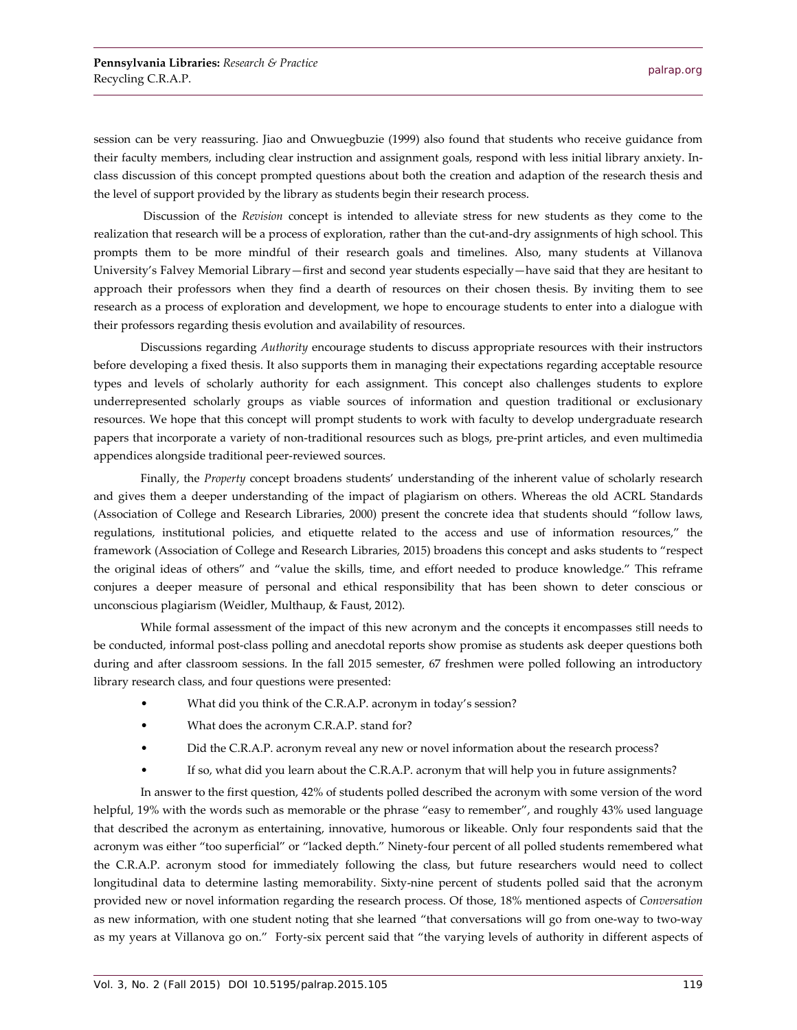session can be very reassuring. Jiao and Onwuegbuzie (1999) also found that students who receive guidance from their faculty members, including clear instruction and assignment goals, respond with less initial library anxiety. Inclass discussion of this concept prompted questions about both the creation and adaption of the research thesis and the level of support provided by the library as students begin their research process.

Discussion of the *Revision* concept is intended to alleviate stress for new students as they come to the realization that research will be a process of exploration, rather than the cut-and-dry assignments of high school. This prompts them to be more mindful of their research goals and timelines. Also, many students at Villanova University's Falvey Memorial Library—first and second year students especially—have said that they are hesitant to approach their professors when they find a dearth of resources on their chosen thesis. By inviting them to see research as a process of exploration and development, we hope to encourage students to enter into a dialogue with their professors regarding thesis evolution and availability of resources.

Discussions regarding *Authority* encourage students to discuss appropriate resources with their instructors before developing a fixed thesis. It also supports them in managing their expectations regarding acceptable resource types and levels of scholarly authority for each assignment. This concept also challenges students to explore underrepresented scholarly groups as viable sources of information and question traditional or exclusionary resources. We hope that this concept will prompt students to work with faculty to develop undergraduate research papers that incorporate a variety of non-traditional resources such as blogs, pre-print articles, and even multimedia appendices alongside traditional peer-reviewed sources.

Finally, the *Property* concept broadens students' understanding of the inherent value of scholarly research and gives them a deeper understanding of the impact of plagiarism on others. Whereas the old ACRL Standards (Association of College and Research Libraries, 2000) present the concrete idea that students should "follow laws, regulations, institutional policies, and etiquette related to the access and use of information resources," the framework (Association of College and Research Libraries, 2015) broadens this concept and asks students to "respect the original ideas of others" and "value the skills, time, and effort needed to produce knowledge." This reframe conjures a deeper measure of personal and ethical responsibility that has been shown to deter conscious or unconscious plagiarism (Weidler, Multhaup, & Faust, 2012).

While formal assessment of the impact of this new acronym and the concepts it encompasses still needs to be conducted, informal post-class polling and anecdotal reports show promise as students ask deeper questions both during and after classroom sessions. In the fall 2015 semester, 67 freshmen were polled following an introductory library research class, and four questions were presented:

- What did you think of the C.R.A.P. acronym in today's session?
- What does the acronym C.R.A.P. stand for?
- Did the C.R.A.P. acronym reveal any new or novel information about the research process?
- If so, what did you learn about the C.R.A.P. acronym that will help you in future assignments?

In answer to the first question, 42% of students polled described the acronym with some version of the word helpful, 19% with the words such as memorable or the phrase "easy to remember", and roughly 43% used language that described the acronym as entertaining, innovative, humorous or likeable. Only four respondents said that the acronym was either "too superficial" or "lacked depth." Ninety-four percent of all polled students remembered what the C.R.A.P. acronym stood for immediately following the class, but future researchers would need to collect longitudinal data to determine lasting memorability. Sixty-nine percent of students polled said that the acronym provided new or novel information regarding the research process. Of those, 18% mentioned aspects of *Conversation* as new information, with one student noting that she learned "that conversations will go from one-way to two-way as my years at Villanova go on." Forty-six percent said that "the varying levels of authority in different aspects of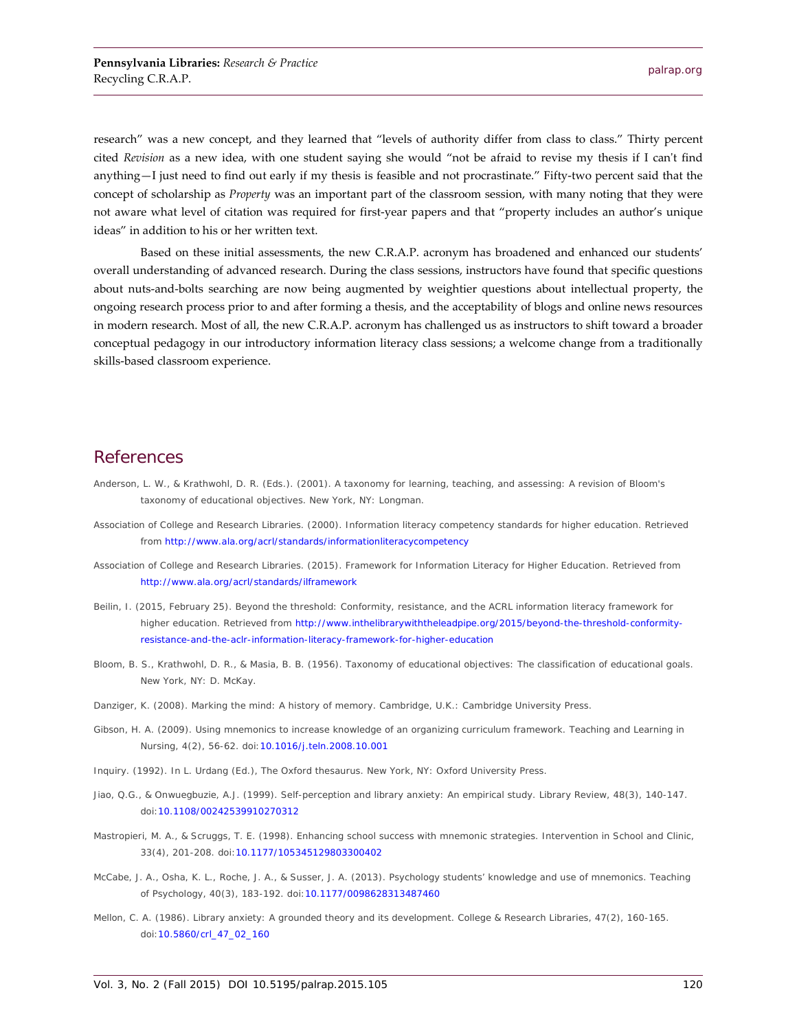research" was a new concept, and they learned that "levels of authority differ from class to class." Thirty percent cited *Revision* as a new idea, with one student saying she would "not be afraid to revise my thesis if I can't find anything—I just need to find out early if my thesis is feasible and not procrastinate." Fifty-two percent said that the concept of scholarship as *Property* was an important part of the classroom session, with many noting that they were not aware what level of citation was required for first-year papers and that "property includes an author's unique ideas" in addition to his or her written text.

Based on these initial assessments, the new C.R.A.P. acronym has broadened and enhanced our students' overall understanding of advanced research. During the class sessions, instructors have found that specific questions about nuts-and-bolts searching are now being augmented by weightier questions about intellectual property, the ongoing research process prior to and after forming a thesis, and the acceptability of blogs and online news resources in modern research. Most of all, the new C.R.A.P. acronym has challenged us as instructors to shift toward a broader conceptual pedagogy in our introductory information literacy class sessions; a welcome change from a traditionally skills-based classroom experience.

### **References**

- Anderson, L. W., & Krathwohl, D. R. (Eds.). (2001). *A taxonomy for learning, teaching, and assessing: A revision of Bloom's taxonomy of educational objectives*. New York, NY: Longman.
- Association of College and Research Libraries. (2000). *Information literacy competency standards for higher education*. Retrieved from<http://www.ala.org/acrl/standards/informationliteracycompetency>
- Association of College and Research Libraries. (2015). *Framework for Information Literacy for Higher Education*. Retrieved from <http://www.ala.org/acrl/standards/ilframework>
- Beilin, I. (2015, February 25). *Beyond the threshold: Conformity, resistance, and the ACRL information literacy framework for higher education*. Retrieved from [http://www.inthelibrarywiththeleadpipe.org/2015/beyond-the-threshold-conformity](http://www.inthelibrarywiththeleadpipe.org/2015/beyond-the-threshold-conformity-resistance-and-the-aclr-information-literacy-framework-for-higher-education)[resistance-and-the-aclr-information-literacy-framework-for-higher-education](http://www.inthelibrarywiththeleadpipe.org/2015/beyond-the-threshold-conformity-resistance-and-the-aclr-information-literacy-framework-for-higher-education)
- Bloom, B. S., Krathwohl, D. R., & Masia, B. B. (1956). *Taxonomy of educational objectives: The classification of educational goals*. New York, NY: D. McKay.
- Danziger, K. (2008). *Marking the mind: A history of memory*. Cambridge, U.K.: Cambridge University Press.
- Gibson, H. A. (2009). Using mnemonics to increase knowledge of an organizing curriculum framework. *Teaching and Learning in Nursing*, *4*(2), 56-62. doi[:10.1016/j.teln.2008.10.001](http://dx.doi.org/10.1016/j.teln.2008.10.001)
- Inquiry. (1992). In L. Urdang (Ed.), *The Oxford thesaurus*. New York, NY: Oxford University Press.
- Jiao, Q.G., & Onwuegbuzie, A.J. (1999). Self-perception and library anxiety: An empirical study. *Library Review*, *48*(3), 140-147. doi[:10.1108/00242539910270312](http://dx.doi.org/10.1108/00242539910270312)
- Mastropieri, M. A., & Scruggs, T. E. (1998). Enhancing school success with mnemonic strategies. *Intervention in School and Clinic*, *33*(4), 201-208. doi[:10.1177/105345129803300402](http://dx.doi.org/10.1177/105345129803300402)
- McCabe, J. A., Osha, K. L., Roche, J. A., & Susser, J. A. (2013). Psychology students' knowledge and use of mnemonics. *Teaching of Psychology*, *40*(3), 183-192. doi[:10.1177/0098628313487460](http://dx.doi.org/10.1177/0098628313487460)
- Mellon, C. A. (1986). Library anxiety: A grounded theory and its development. *College & Research Libraries*, *47*(2), 160-165. doi[:10.5860/crl\\_47\\_02\\_160](http://dx.doi.org/10.5860/crl_47_02_160)